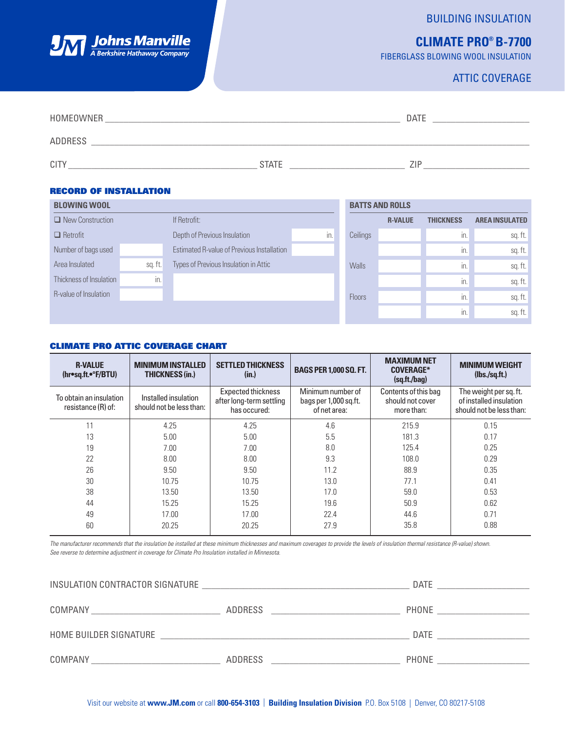## BUILDING INSULATION

# **CLIMATE PRO® B-7700**

FIBERGLASS BLOWING WOOL INSULATION

# ATTIC COVERAGE

| HOMEOWNER      |              | <b>DATE</b> |
|----------------|--------------|-------------|
| <b>ADDRESS</b> |              |             |
| CITY           | <b>STATE</b> | <b>71F</b>  |

### RECORD OF INSTALLATION

**JM Johns Manville** 

| <b>BLOWING WOOL</b>          |         |                                            |     |               | <b>BATTS AND ROLLS</b> |                  |                       |
|------------------------------|---------|--------------------------------------------|-----|---------------|------------------------|------------------|-----------------------|
| $\Box$ New Construction      |         | If Retrofit:                               |     |               | <b>R-VALUE</b>         | <b>THICKNESS</b> | <b>AREA INSULATED</b> |
| $\Box$ Retrofit              |         | Depth of Previous Insulation               | in. | Ceilings      |                        | in.              | sq. ft.               |
| Number of bags used          |         | Estimated R-value of Previous Installation |     |               |                        | in.              | sq. ft.               |
| Area Insulated               | sq. ft. | Types of Previous Insulation in Attic      |     | <b>Walls</b>  |                        | in.              | sq. ft.               |
| Thickness of Insulation      | in.     |                                            |     |               |                        | in.              | sq. ft.               |
| <b>R-value of Insulation</b> |         |                                            |     | <b>Floors</b> |                        | in.              | sq.ft.                |
|                              |         |                                            |     |               |                        | in.              | sq. ft.               |

#### CLIMATE PRO ATTIC COVERAGE CHART

| <b>R-VALUE</b><br>$(hr \bullet sq.fit \bullet \circ F/BTU)$ | <b>MINIMUM INSTALLED</b><br><b>THICKNESS (in.)</b> | <b>SETTLED THICKNESS</b><br>(in.)                                     | <b>BAGS PER 1,000 SQ. FT.</b>                              | <b>MAXIMUM NET</b><br><b>COVERAGE*</b><br>(sq.fit./bag) | <b>MINIMUM WEIGHT</b><br>(lbs./sq.fit.)                                       |
|-------------------------------------------------------------|----------------------------------------------------|-----------------------------------------------------------------------|------------------------------------------------------------|---------------------------------------------------------|-------------------------------------------------------------------------------|
| To obtain an insulation<br>resistance (R) of:               | Installed insulation<br>should not be less than:   | <b>Expected thickness</b><br>after long-term settling<br>has occured: | Minimum number of<br>bags per 1,000 sq.ft.<br>of net area: | Contents of this bag<br>should not cover<br>more than:  | The weight per sq. ft.<br>of installed insulation<br>should not be less than: |
| 11                                                          | 4.25                                               | 4.25                                                                  | 4.6                                                        | 215.9                                                   | 0.15                                                                          |
| 13                                                          | 5.00                                               | 5.00                                                                  | 5.5                                                        | 181.3                                                   | 0.17                                                                          |
| 19                                                          | 7.00                                               | 7.00                                                                  | 8.0                                                        | 125.4                                                   | 0.25                                                                          |
| 22                                                          | 8.00                                               | 8.00                                                                  | 9.3                                                        | 108.0                                                   | 0.29                                                                          |
| 26                                                          | 9.50                                               | 9.50                                                                  | 11.2                                                       | 88.9                                                    | 0.35                                                                          |
| 30                                                          | 10.75                                              | 10.75                                                                 | 13.0                                                       | 77.1                                                    | 0.41                                                                          |
| 38                                                          | 13.50                                              | 13.50                                                                 | 17.0                                                       | 59.0                                                    | 0.53                                                                          |
| 44                                                          | 15.25                                              | 15.25                                                                 | 19.6                                                       | 50.9                                                    | 0.62                                                                          |
| 49                                                          | 17.00                                              | 17.00                                                                 | 22.4                                                       | 44.6                                                    | 0.71                                                                          |
| 60                                                          | 20.25                                              | 20.25                                                                 | 27.9                                                       | 35.8                                                    | 0.88                                                                          |

*See reverse to determine adjustment in coverage for Climate Pro Insulation installed in Minnesota. The manufacturer recommends that the insulation be installed at these minimum thicknesses and maximum coverages to provide the levels of insulation thermal resistance (R-value) shown.*

| INSULATION CONTRACTOR SIGNATURE |                                                                                                                       | <b>DATE</b> |
|---------------------------------|-----------------------------------------------------------------------------------------------------------------------|-------------|
| <b>COMPANY</b>                  | ADDRESS                                                                                                               | PHONE       |
|                                 |                                                                                                                       |             |
| HOME BUILDER SIGNATURE          | <u> 1990 - Johann Harry Harry Harry Harry Harry Harry Harry Harry Harry Harry Harry Harry Harry Harry Harry Harry</u> | DATE        |
| COMPANY                         | ADDRESS                                                                                                               | PHONE       |
|                                 |                                                                                                                       |             |